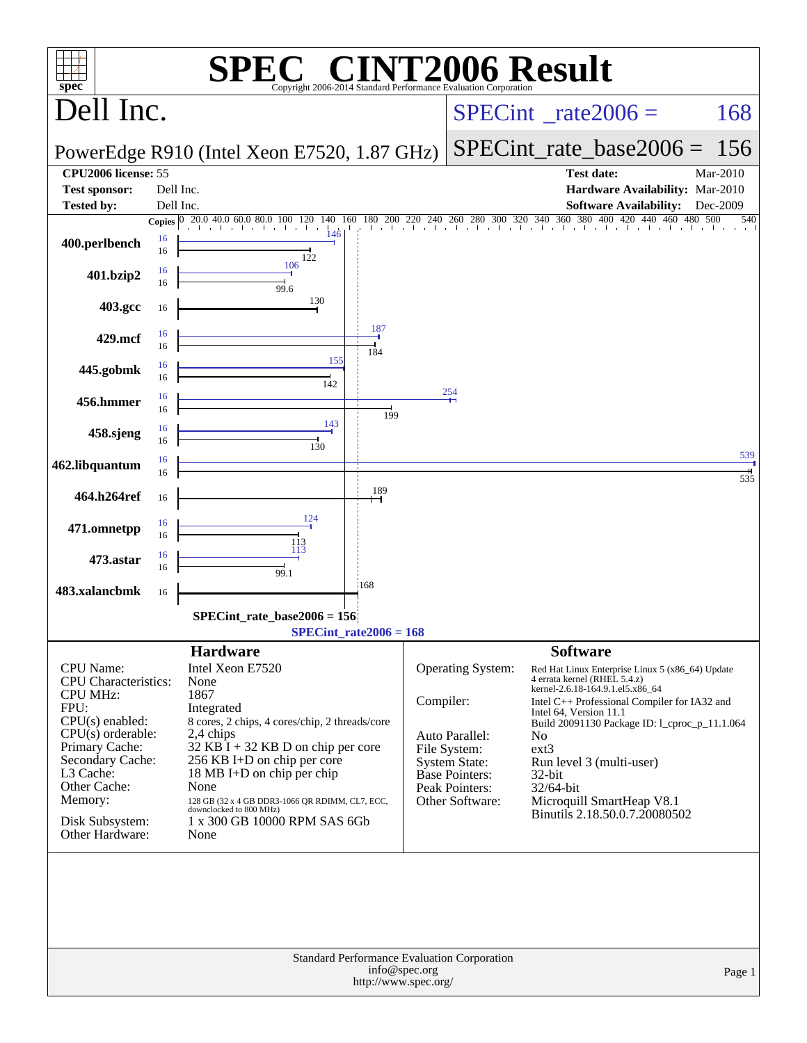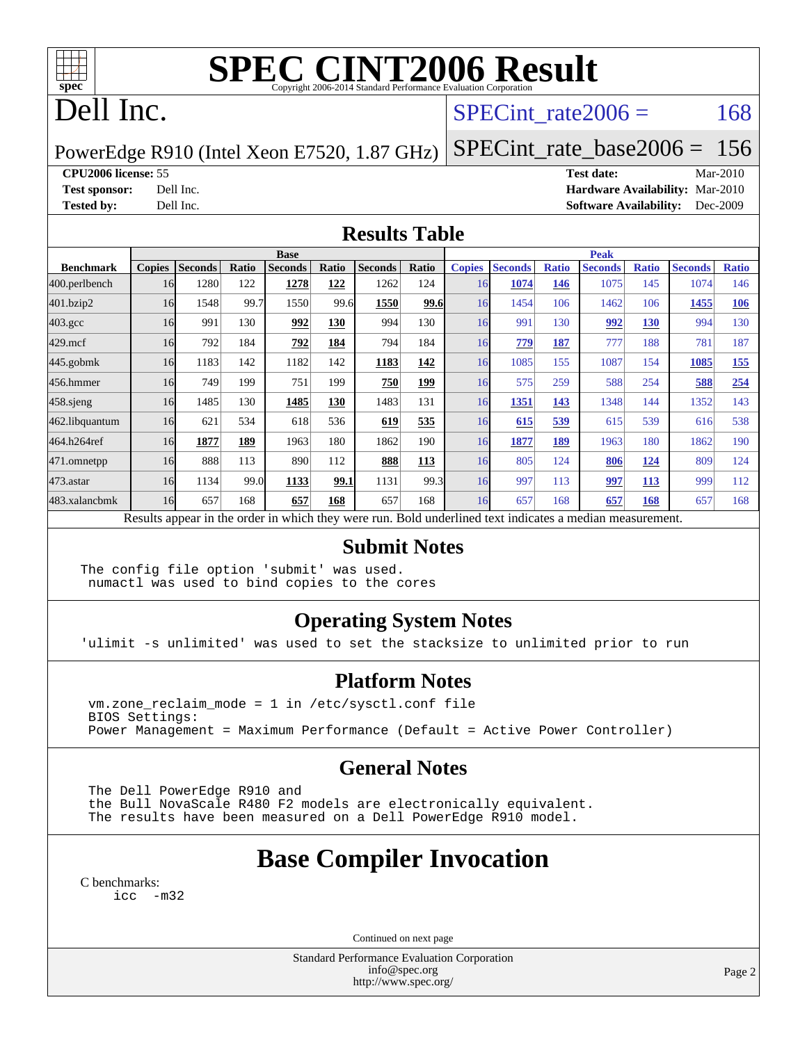

# **[SPEC CINT2006 Result](http://www.spec.org/auto/cpu2006/Docs/result-fields.html#SPECCINT2006Result)**

# Dell Inc.

### SPECint rate $2006 = 168$

#### PowerEdge R910 (Intel Xeon E7520, 1.87 GHz)

**[CPU2006 license:](http://www.spec.org/auto/cpu2006/Docs/result-fields.html#CPU2006license)** 55 **[Test date:](http://www.spec.org/auto/cpu2006/Docs/result-fields.html#Testdate)** Mar-2010 **[Test sponsor:](http://www.spec.org/auto/cpu2006/Docs/result-fields.html#Testsponsor)** Dell Inc. **[Hardware Availability:](http://www.spec.org/auto/cpu2006/Docs/result-fields.html#HardwareAvailability)** Mar-2010 **[Tested by:](http://www.spec.org/auto/cpu2006/Docs/result-fields.html#Testedby)** Dell Inc. **[Software Availability:](http://www.spec.org/auto/cpu2006/Docs/result-fields.html#SoftwareAvailability)** Dec-2009

[SPECint\\_rate\\_base2006 =](http://www.spec.org/auto/cpu2006/Docs/result-fields.html#SPECintratebase2006) 156

#### **[Results Table](http://www.spec.org/auto/cpu2006/Docs/result-fields.html#ResultsTable)**

|                  | <b>Base</b>   |                |              |                |       |                |            | <b>Peak</b>   |                |              |                                                                                                          |              |                |              |
|------------------|---------------|----------------|--------------|----------------|-------|----------------|------------|---------------|----------------|--------------|----------------------------------------------------------------------------------------------------------|--------------|----------------|--------------|
| <b>Benchmark</b> | <b>Copies</b> | <b>Seconds</b> | <b>Ratio</b> | <b>Seconds</b> | Ratio | <b>Seconds</b> | Ratio      | <b>Copies</b> | <b>Seconds</b> | <b>Ratio</b> | <b>Seconds</b>                                                                                           | <b>Ratio</b> | <b>Seconds</b> | <b>Ratio</b> |
| 400.perlbench    | 16            | 1280           | 122          | 1278           | 122   | 1262           | 124        | 16            | 1074           | 146          | 1075                                                                                                     | 145          | 1074           | 146          |
| 401.bzip2        | 16            | 1548           | 99.7         | 1550           | 99.6  | 1550           | 99.6       | 16            | 1454           | 106          | 1462                                                                                                     | 106          | 1455           | 106          |
| $403.\text{gcc}$ | 16            | 991            | 130          | 992            | 130   | 994            | 130        | 16            | 991            | 130          | 992                                                                                                      | 130          | 994            | 130          |
| $429$ .mcf       | 16            | 792            | 184          | 792            | 184   | 794            | 184        | 16            | 779            | 187          | 777                                                                                                      | 188          | 781            | 187          |
| $445$ .gobmk     | 16            | 1183           | 142          | 1182           | 142   | 1183           | 142        | 16            | 1085           | 155          | 1087                                                                                                     | 154          | 1085           | <u>155</u>   |
| 456.hmmer        | 16            | 749            | 199          | 751            | 199   | 750            | 199        | 16            | 575            | 259          | 588                                                                                                      | 254          | 588            | 254          |
| $458$ .sjeng     | 16            | 1485           | 130          | 1485           | 130   | 1483           | 131        | 16            | 1351           | 143          | 1348                                                                                                     | 144          | 1352           | 143          |
| 462.libquantum   | 16            | 621            | 534          | 618            | 536   | 619            | 535        | 16            | 615            | 539          | 615                                                                                                      | 539          | 616            | 538          |
| 464.h264ref      | 16            | 1877           | 189          | 1963           | 180   | 1862           | 190        | 16            | 1877           | 189          | 1963                                                                                                     | 180          | 1862           | 190          |
| 471.omnetpp      | 16            | 888            | 113          | 890            | 112   | 888            | <b>113</b> | 16            | 805            | 124          | 806                                                                                                      | <u>124</u>   | 809            | 124          |
| 473.astar        | 16            | 1134           | 99.0         | 1133           | 99.1  | 1131           | 99.3       | 16            | 997            | 113          | 997                                                                                                      | 113          | 999            | 112          |
| 483.xalancbmk    | 16            | 657            | 168          | 657            | 168   | 657            | 168        | 16            | 657            | 168          | 657                                                                                                      | 168          | 657            | 168          |
|                  |               |                |              |                |       |                |            |               |                |              | Results appear in the order in which they were run. Bold underlined text indicates a median measurement. |              |                |              |

#### **[Submit Notes](http://www.spec.org/auto/cpu2006/Docs/result-fields.html#SubmitNotes)**

The config file option 'submit' was used. numactl was used to bind copies to the cores

#### **[Operating System Notes](http://www.spec.org/auto/cpu2006/Docs/result-fields.html#OperatingSystemNotes)**

'ulimit -s unlimited' was used to set the stacksize to unlimited prior to run

#### **[Platform Notes](http://www.spec.org/auto/cpu2006/Docs/result-fields.html#PlatformNotes)**

 vm.zone\_reclaim\_mode = 1 in /etc/sysctl.conf file BIOS Settings: Power Management = Maximum Performance (Default = Active Power Controller)

#### **[General Notes](http://www.spec.org/auto/cpu2006/Docs/result-fields.html#GeneralNotes)**

 The Dell PowerEdge R910 and the Bull NovaScale R480 F2 models are electronically equivalent. The results have been measured on a Dell PowerEdge R910 model.

## **[Base Compiler Invocation](http://www.spec.org/auto/cpu2006/Docs/result-fields.html#BaseCompilerInvocation)**

[C benchmarks](http://www.spec.org/auto/cpu2006/Docs/result-fields.html#Cbenchmarks):

[icc -m32](http://www.spec.org/cpu2006/results/res2010q3/cpu2006-20100621-11894.flags.html#user_CCbase_intel_icc_32bit_5ff4a39e364c98233615fdd38438c6f2)

Continued on next page

Standard Performance Evaluation Corporation [info@spec.org](mailto:info@spec.org) <http://www.spec.org/>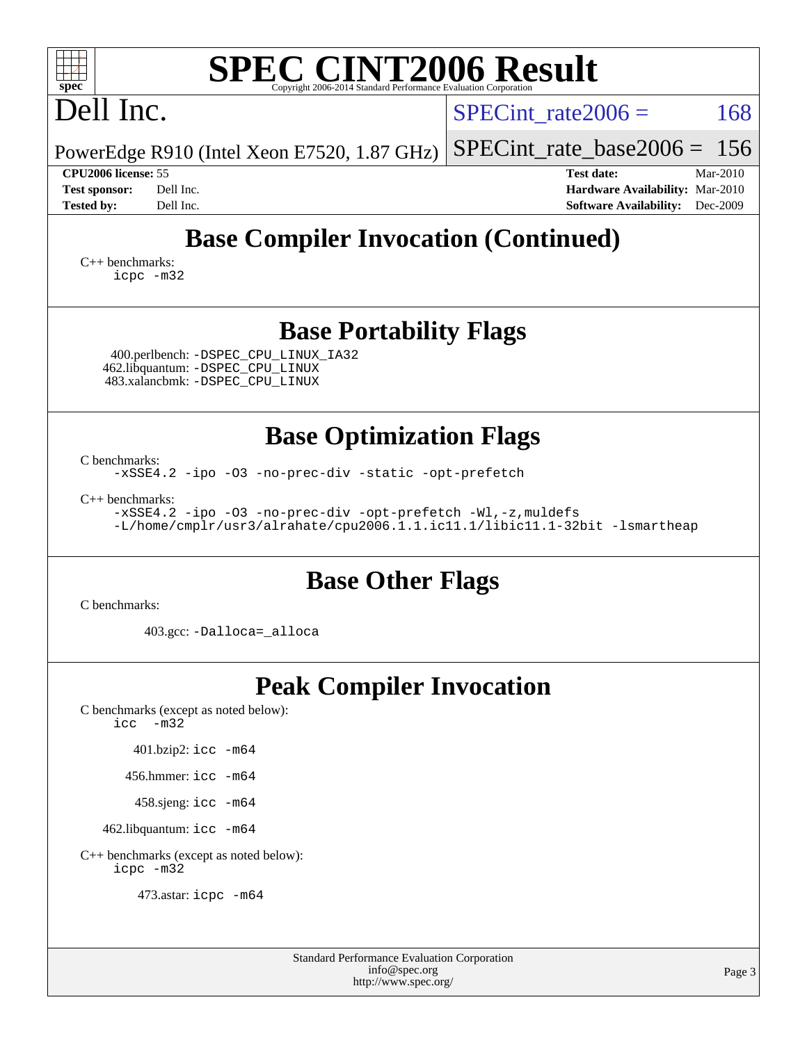| <b>SPEC CINT2006 Result</b><br>spec <sup>®</sup><br>Copyright 2006-2014 Standard Performance Evaluation Corporation                                                |                                                                                                               |
|--------------------------------------------------------------------------------------------------------------------------------------------------------------------|---------------------------------------------------------------------------------------------------------------|
| Dell Inc.                                                                                                                                                          | 168<br>$SPECint rate 2006 =$                                                                                  |
| PowerEdge R910 (Intel Xeon E7520, 1.87 GHz)                                                                                                                        | 156<br>$SPECint$ rate_base2006 =                                                                              |
| CPU2006 license: 55<br>Dell Inc.<br><b>Test sponsor:</b><br><b>Tested by:</b><br>Dell Inc.                                                                         | <b>Test date:</b><br>Mar-2010<br>Hardware Availability: Mar-2010<br><b>Software Availability:</b><br>Dec-2009 |
| <b>Base Compiler Invocation (Continued)</b>                                                                                                                        |                                                                                                               |
| $C_{++}$ benchmarks:<br>icpc -m32                                                                                                                                  |                                                                                                               |
| <b>Base Portability Flags</b><br>400.perlbench: -DSPEC_CPU_LINUX_IA32<br>462.libquantum: -DSPEC_CPU_LINUX<br>483.xalancbmk: - DSPEC CPU LINUX                      |                                                                                                               |
| <b>Base Optimization Flags</b><br>C benchmarks:                                                                                                                    |                                                                                                               |
| -xSSE4.2 -ipo -03 -no-prec-div -static -opt-prefetch                                                                                                               |                                                                                                               |
| $C_{++}$ benchmarks:<br>-xSSE4.2 -ipo -03 -no-prec-div -opt-prefetch -Wl,-z, muldefs<br>-L/home/cmplr/usr3/alrahate/cpu2006.1.1.ic11.1/libic11.1-32bit -lsmartheap |                                                                                                               |
| <b>Base Other Flags</b>                                                                                                                                            |                                                                                                               |
| C benchmarks:<br>403.gcc: -Dalloca=_alloca                                                                                                                         |                                                                                                               |
| <b>Peak Compiler Invocation</b>                                                                                                                                    |                                                                                                               |
| C benchmarks (except as noted below):<br>$-m32$<br>icc                                                                                                             |                                                                                                               |
| 401.bzip2: icc -m64                                                                                                                                                |                                                                                                               |
| 456.hmmer: $\text{icc}$ -m64                                                                                                                                       |                                                                                                               |
| 458.sjeng: icc -m64                                                                                                                                                |                                                                                                               |
| 462.libquantum: icc -m64                                                                                                                                           |                                                                                                               |
| C++ benchmarks (except as noted below):<br>icpc -m32                                                                                                               |                                                                                                               |
| 473.astar: icpc -m64                                                                                                                                               |                                                                                                               |
|                                                                                                                                                                    |                                                                                                               |

| <b>Standard Performance Evaluation Corporation</b> |
|----------------------------------------------------|
| info@spec.org                                      |
| http://www.spec.org/                               |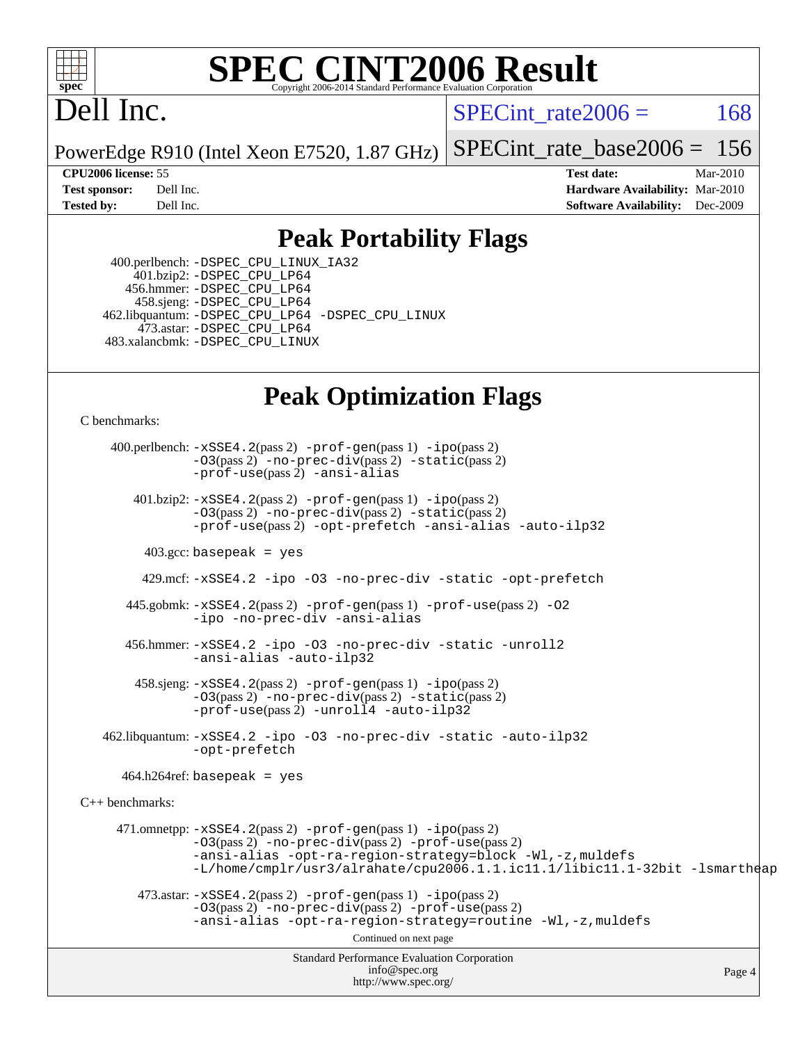

# **[SPEC CINT2006 Result](http://www.spec.org/auto/cpu2006/Docs/result-fields.html#SPECCINT2006Result)**

# Dell Inc.

SPECint rate $2006 = 168$ 

PowerEdge R910 (Intel Xeon E7520, 1.87 GHz) [SPECint\\_rate\\_base2006 =](http://www.spec.org/auto/cpu2006/Docs/result-fields.html#SPECintratebase2006) 156

**[CPU2006 license:](http://www.spec.org/auto/cpu2006/Docs/result-fields.html#CPU2006license)** 55 **[Test date:](http://www.spec.org/auto/cpu2006/Docs/result-fields.html#Testdate)** Mar-2010 **[Test sponsor:](http://www.spec.org/auto/cpu2006/Docs/result-fields.html#Testsponsor)** Dell Inc. **[Hardware Availability:](http://www.spec.org/auto/cpu2006/Docs/result-fields.html#HardwareAvailability)** Mar-2010 **[Tested by:](http://www.spec.org/auto/cpu2006/Docs/result-fields.html#Testedby)** Dell Inc. **[Software Availability:](http://www.spec.org/auto/cpu2006/Docs/result-fields.html#SoftwareAvailability)** Dec-2009

## **[Peak Portability Flags](http://www.spec.org/auto/cpu2006/Docs/result-fields.html#PeakPortabilityFlags)**

 400.perlbench: [-DSPEC\\_CPU\\_LINUX\\_IA32](http://www.spec.org/cpu2006/results/res2010q3/cpu2006-20100621-11894.flags.html#b400.perlbench_peakCPORTABILITY_DSPEC_CPU_LINUX_IA32) 401.bzip2: [-DSPEC\\_CPU\\_LP64](http://www.spec.org/cpu2006/results/res2010q3/cpu2006-20100621-11894.flags.html#suite_peakCPORTABILITY401_bzip2_DSPEC_CPU_LP64) 456.hmmer: [-DSPEC\\_CPU\\_LP64](http://www.spec.org/cpu2006/results/res2010q3/cpu2006-20100621-11894.flags.html#suite_peakCPORTABILITY456_hmmer_DSPEC_CPU_LP64) 458.sjeng: [-DSPEC\\_CPU\\_LP64](http://www.spec.org/cpu2006/results/res2010q3/cpu2006-20100621-11894.flags.html#suite_peakCPORTABILITY458_sjeng_DSPEC_CPU_LP64) 462.libquantum: [-DSPEC\\_CPU\\_LP64](http://www.spec.org/cpu2006/results/res2010q3/cpu2006-20100621-11894.flags.html#suite_peakCPORTABILITY462_libquantum_DSPEC_CPU_LP64) [-DSPEC\\_CPU\\_LINUX](http://www.spec.org/cpu2006/results/res2010q3/cpu2006-20100621-11894.flags.html#b462.libquantum_peakCPORTABILITY_DSPEC_CPU_LINUX) 473.astar: [-DSPEC\\_CPU\\_LP64](http://www.spec.org/cpu2006/results/res2010q3/cpu2006-20100621-11894.flags.html#suite_peakCXXPORTABILITY473_astar_DSPEC_CPU_LP64) 483.xalancbmk: [-DSPEC\\_CPU\\_LINUX](http://www.spec.org/cpu2006/results/res2010q3/cpu2006-20100621-11894.flags.html#b483.xalancbmk_peakCXXPORTABILITY_DSPEC_CPU_LINUX)

## **[Peak Optimization Flags](http://www.spec.org/auto/cpu2006/Docs/result-fields.html#PeakOptimizationFlags)**

[C benchmarks](http://www.spec.org/auto/cpu2006/Docs/result-fields.html#Cbenchmarks):

Standard Performance Evaluation Corporation [info@spec.org](mailto:info@spec.org) <http://www.spec.org/> Page 4 400.perlbench: [-xSSE4.2](http://www.spec.org/cpu2006/results/res2010q3/cpu2006-20100621-11894.flags.html#user_peakPASS2_CFLAGSPASS2_LDCFLAGS400_perlbench_f-xSSE42_f91528193cf0b216347adb8b939d4107)(pass 2) [-prof-gen](http://www.spec.org/cpu2006/results/res2010q3/cpu2006-20100621-11894.flags.html#user_peakPASS1_CFLAGSPASS1_LDCFLAGS400_perlbench_prof_gen_e43856698f6ca7b7e442dfd80e94a8fc)(pass 1) [-ipo](http://www.spec.org/cpu2006/results/res2010q3/cpu2006-20100621-11894.flags.html#user_peakPASS2_CFLAGSPASS2_LDCFLAGS400_perlbench_f-ipo)(pass 2) [-O3](http://www.spec.org/cpu2006/results/res2010q3/cpu2006-20100621-11894.flags.html#user_peakPASS2_CFLAGSPASS2_LDCFLAGS400_perlbench_f-O3)(pass 2) [-no-prec-div](http://www.spec.org/cpu2006/results/res2010q3/cpu2006-20100621-11894.flags.html#user_peakPASS2_CFLAGSPASS2_LDCFLAGS400_perlbench_f-no-prec-div)(pass 2) [-static](http://www.spec.org/cpu2006/results/res2010q3/cpu2006-20100621-11894.flags.html#user_peakPASS2_CFLAGSPASS2_LDCFLAGS400_perlbench_f-static)(pass 2) [-prof-use](http://www.spec.org/cpu2006/results/res2010q3/cpu2006-20100621-11894.flags.html#user_peakPASS2_CFLAGSPASS2_LDCFLAGS400_perlbench_prof_use_bccf7792157ff70d64e32fe3e1250b55)(pass 2) [-ansi-alias](http://www.spec.org/cpu2006/results/res2010q3/cpu2006-20100621-11894.flags.html#user_peakCOPTIMIZE400_perlbench_f-ansi-alias) 401.bzip2: [-xSSE4.2](http://www.spec.org/cpu2006/results/res2010q3/cpu2006-20100621-11894.flags.html#user_peakPASS2_CFLAGSPASS2_LDCFLAGS401_bzip2_f-xSSE42_f91528193cf0b216347adb8b939d4107)(pass 2) [-prof-gen](http://www.spec.org/cpu2006/results/res2010q3/cpu2006-20100621-11894.flags.html#user_peakPASS1_CFLAGSPASS1_LDCFLAGS401_bzip2_prof_gen_e43856698f6ca7b7e442dfd80e94a8fc)(pass 1) [-ipo](http://www.spec.org/cpu2006/results/res2010q3/cpu2006-20100621-11894.flags.html#user_peakPASS2_CFLAGSPASS2_LDCFLAGS401_bzip2_f-ipo)(pass 2) [-O3](http://www.spec.org/cpu2006/results/res2010q3/cpu2006-20100621-11894.flags.html#user_peakPASS2_CFLAGSPASS2_LDCFLAGS401_bzip2_f-O3)(pass 2) [-no-prec-div](http://www.spec.org/cpu2006/results/res2010q3/cpu2006-20100621-11894.flags.html#user_peakPASS2_CFLAGSPASS2_LDCFLAGS401_bzip2_f-no-prec-div)(pass 2) [-static](http://www.spec.org/cpu2006/results/res2010q3/cpu2006-20100621-11894.flags.html#user_peakPASS2_CFLAGSPASS2_LDCFLAGS401_bzip2_f-static)(pass 2) [-prof-use](http://www.spec.org/cpu2006/results/res2010q3/cpu2006-20100621-11894.flags.html#user_peakPASS2_CFLAGSPASS2_LDCFLAGS401_bzip2_prof_use_bccf7792157ff70d64e32fe3e1250b55)(pass 2) [-opt-prefetch](http://www.spec.org/cpu2006/results/res2010q3/cpu2006-20100621-11894.flags.html#user_peakCOPTIMIZE401_bzip2_f-opt-prefetch) [-ansi-alias](http://www.spec.org/cpu2006/results/res2010q3/cpu2006-20100621-11894.flags.html#user_peakCOPTIMIZE401_bzip2_f-ansi-alias) [-auto-ilp32](http://www.spec.org/cpu2006/results/res2010q3/cpu2006-20100621-11894.flags.html#user_peakCOPTIMIZE401_bzip2_f-auto-ilp32)  $403.\text{gcc: basepeak}$  = yes 429.mcf: [-xSSE4.2](http://www.spec.org/cpu2006/results/res2010q3/cpu2006-20100621-11894.flags.html#user_peakCOPTIMIZE429_mcf_f-xSSE42_f91528193cf0b216347adb8b939d4107) [-ipo](http://www.spec.org/cpu2006/results/res2010q3/cpu2006-20100621-11894.flags.html#user_peakCOPTIMIZE429_mcf_f-ipo) [-O3](http://www.spec.org/cpu2006/results/res2010q3/cpu2006-20100621-11894.flags.html#user_peakCOPTIMIZE429_mcf_f-O3) [-no-prec-div](http://www.spec.org/cpu2006/results/res2010q3/cpu2006-20100621-11894.flags.html#user_peakCOPTIMIZE429_mcf_f-no-prec-div) [-static](http://www.spec.org/cpu2006/results/res2010q3/cpu2006-20100621-11894.flags.html#user_peakCOPTIMIZE429_mcf_f-static) [-opt-prefetch](http://www.spec.org/cpu2006/results/res2010q3/cpu2006-20100621-11894.flags.html#user_peakCOPTIMIZE429_mcf_f-opt-prefetch) 445.gobmk: [-xSSE4.2](http://www.spec.org/cpu2006/results/res2010q3/cpu2006-20100621-11894.flags.html#user_peakPASS2_CFLAGSPASS2_LDCFLAGS445_gobmk_f-xSSE42_f91528193cf0b216347adb8b939d4107)(pass 2) [-prof-gen](http://www.spec.org/cpu2006/results/res2010q3/cpu2006-20100621-11894.flags.html#user_peakPASS1_CFLAGSPASS1_LDCFLAGS445_gobmk_prof_gen_e43856698f6ca7b7e442dfd80e94a8fc)(pass 1) [-prof-use](http://www.spec.org/cpu2006/results/res2010q3/cpu2006-20100621-11894.flags.html#user_peakPASS2_CFLAGSPASS2_LDCFLAGS445_gobmk_prof_use_bccf7792157ff70d64e32fe3e1250b55)(pass 2) [-O2](http://www.spec.org/cpu2006/results/res2010q3/cpu2006-20100621-11894.flags.html#user_peakCOPTIMIZE445_gobmk_f-O2) [-ipo](http://www.spec.org/cpu2006/results/res2010q3/cpu2006-20100621-11894.flags.html#user_peakCOPTIMIZE445_gobmk_f-ipo) [-no-prec-div](http://www.spec.org/cpu2006/results/res2010q3/cpu2006-20100621-11894.flags.html#user_peakCOPTIMIZE445_gobmk_f-no-prec-div) [-ansi-alias](http://www.spec.org/cpu2006/results/res2010q3/cpu2006-20100621-11894.flags.html#user_peakCOPTIMIZE445_gobmk_f-ansi-alias) 456.hmmer: [-xSSE4.2](http://www.spec.org/cpu2006/results/res2010q3/cpu2006-20100621-11894.flags.html#user_peakCOPTIMIZE456_hmmer_f-xSSE42_f91528193cf0b216347adb8b939d4107) [-ipo](http://www.spec.org/cpu2006/results/res2010q3/cpu2006-20100621-11894.flags.html#user_peakCOPTIMIZE456_hmmer_f-ipo) [-O3](http://www.spec.org/cpu2006/results/res2010q3/cpu2006-20100621-11894.flags.html#user_peakCOPTIMIZE456_hmmer_f-O3) [-no-prec-div](http://www.spec.org/cpu2006/results/res2010q3/cpu2006-20100621-11894.flags.html#user_peakCOPTIMIZE456_hmmer_f-no-prec-div) [-static](http://www.spec.org/cpu2006/results/res2010q3/cpu2006-20100621-11894.flags.html#user_peakCOPTIMIZE456_hmmer_f-static) [-unroll2](http://www.spec.org/cpu2006/results/res2010q3/cpu2006-20100621-11894.flags.html#user_peakCOPTIMIZE456_hmmer_f-unroll_784dae83bebfb236979b41d2422d7ec2) [-ansi-alias](http://www.spec.org/cpu2006/results/res2010q3/cpu2006-20100621-11894.flags.html#user_peakCOPTIMIZE456_hmmer_f-ansi-alias) [-auto-ilp32](http://www.spec.org/cpu2006/results/res2010q3/cpu2006-20100621-11894.flags.html#user_peakCOPTIMIZE456_hmmer_f-auto-ilp32) 458.sjeng: [-xSSE4.2](http://www.spec.org/cpu2006/results/res2010q3/cpu2006-20100621-11894.flags.html#user_peakPASS2_CFLAGSPASS2_LDCFLAGS458_sjeng_f-xSSE42_f91528193cf0b216347adb8b939d4107)(pass 2) [-prof-gen](http://www.spec.org/cpu2006/results/res2010q3/cpu2006-20100621-11894.flags.html#user_peakPASS1_CFLAGSPASS1_LDCFLAGS458_sjeng_prof_gen_e43856698f6ca7b7e442dfd80e94a8fc)(pass 1) [-ipo](http://www.spec.org/cpu2006/results/res2010q3/cpu2006-20100621-11894.flags.html#user_peakPASS2_CFLAGSPASS2_LDCFLAGS458_sjeng_f-ipo)(pass 2) [-O3](http://www.spec.org/cpu2006/results/res2010q3/cpu2006-20100621-11894.flags.html#user_peakPASS2_CFLAGSPASS2_LDCFLAGS458_sjeng_f-O3)(pass 2) [-no-prec-div](http://www.spec.org/cpu2006/results/res2010q3/cpu2006-20100621-11894.flags.html#user_peakPASS2_CFLAGSPASS2_LDCFLAGS458_sjeng_f-no-prec-div)(pass 2) [-static](http://www.spec.org/cpu2006/results/res2010q3/cpu2006-20100621-11894.flags.html#user_peakPASS2_CFLAGSPASS2_LDCFLAGS458_sjeng_f-static)(pass 2) [-prof-use](http://www.spec.org/cpu2006/results/res2010q3/cpu2006-20100621-11894.flags.html#user_peakPASS2_CFLAGSPASS2_LDCFLAGS458_sjeng_prof_use_bccf7792157ff70d64e32fe3e1250b55)(pass 2) [-unroll4](http://www.spec.org/cpu2006/results/res2010q3/cpu2006-20100621-11894.flags.html#user_peakCOPTIMIZE458_sjeng_f-unroll_4e5e4ed65b7fd20bdcd365bec371b81f) [-auto-ilp32](http://www.spec.org/cpu2006/results/res2010q3/cpu2006-20100621-11894.flags.html#user_peakCOPTIMIZE458_sjeng_f-auto-ilp32) 462.libquantum: [-xSSE4.2](http://www.spec.org/cpu2006/results/res2010q3/cpu2006-20100621-11894.flags.html#user_peakCOPTIMIZE462_libquantum_f-xSSE42_f91528193cf0b216347adb8b939d4107) [-ipo](http://www.spec.org/cpu2006/results/res2010q3/cpu2006-20100621-11894.flags.html#user_peakCOPTIMIZE462_libquantum_f-ipo) [-O3](http://www.spec.org/cpu2006/results/res2010q3/cpu2006-20100621-11894.flags.html#user_peakCOPTIMIZE462_libquantum_f-O3) [-no-prec-div](http://www.spec.org/cpu2006/results/res2010q3/cpu2006-20100621-11894.flags.html#user_peakCOPTIMIZE462_libquantum_f-no-prec-div) [-static](http://www.spec.org/cpu2006/results/res2010q3/cpu2006-20100621-11894.flags.html#user_peakCOPTIMIZE462_libquantum_f-static) [-auto-ilp32](http://www.spec.org/cpu2006/results/res2010q3/cpu2006-20100621-11894.flags.html#user_peakCOPTIMIZE462_libquantum_f-auto-ilp32) [-opt-prefetch](http://www.spec.org/cpu2006/results/res2010q3/cpu2006-20100621-11894.flags.html#user_peakCOPTIMIZE462_libquantum_f-opt-prefetch)  $464.h264$ ref: basepeak = yes [C++ benchmarks:](http://www.spec.org/auto/cpu2006/Docs/result-fields.html#CXXbenchmarks) 471.omnetpp: [-xSSE4.2](http://www.spec.org/cpu2006/results/res2010q3/cpu2006-20100621-11894.flags.html#user_peakPASS2_CXXFLAGSPASS2_LDCXXFLAGS471_omnetpp_f-xSSE42_f91528193cf0b216347adb8b939d4107)(pass 2) [-prof-gen](http://www.spec.org/cpu2006/results/res2010q3/cpu2006-20100621-11894.flags.html#user_peakPASS1_CXXFLAGSPASS1_LDCXXFLAGS471_omnetpp_prof_gen_e43856698f6ca7b7e442dfd80e94a8fc)(pass 1) [-ipo](http://www.spec.org/cpu2006/results/res2010q3/cpu2006-20100621-11894.flags.html#user_peakPASS2_CXXFLAGSPASS2_LDCXXFLAGS471_omnetpp_f-ipo)(pass 2) [-O3](http://www.spec.org/cpu2006/results/res2010q3/cpu2006-20100621-11894.flags.html#user_peakPASS2_CXXFLAGSPASS2_LDCXXFLAGS471_omnetpp_f-O3)(pass 2) [-no-prec-div](http://www.spec.org/cpu2006/results/res2010q3/cpu2006-20100621-11894.flags.html#user_peakPASS2_CXXFLAGSPASS2_LDCXXFLAGS471_omnetpp_f-no-prec-div)(pass 2) [-prof-use](http://www.spec.org/cpu2006/results/res2010q3/cpu2006-20100621-11894.flags.html#user_peakPASS2_CXXFLAGSPASS2_LDCXXFLAGS471_omnetpp_prof_use_bccf7792157ff70d64e32fe3e1250b55)(pass 2) [-ansi-alias](http://www.spec.org/cpu2006/results/res2010q3/cpu2006-20100621-11894.flags.html#user_peakCXXOPTIMIZE471_omnetpp_f-ansi-alias) [-opt-ra-region-strategy=block](http://www.spec.org/cpu2006/results/res2010q3/cpu2006-20100621-11894.flags.html#user_peakCXXOPTIMIZE471_omnetpp_f-opt-ra-region-strategy-block_a0a37c372d03933b2a18d4af463c1f69) [-Wl,-z,muldefs](http://www.spec.org/cpu2006/results/res2010q3/cpu2006-20100621-11894.flags.html#user_peakEXTRA_LDFLAGS471_omnetpp_link_force_multiple1_74079c344b956b9658436fd1b6dd3a8a) [-L/home/cmplr/usr3/alrahate/cpu2006.1.1.ic11.1/libic11.1-32bit -lsmartheap](http://www.spec.org/cpu2006/results/res2010q3/cpu2006-20100621-11894.flags.html#user_peakEXTRA_LIBS471_omnetpp_SmartHeap_d86dffe4a79b79ef8890d5cce17030c3)  $473.\text{astar: } -xSSE4$ .  $2(\text{pass 2})$   $-\text{prof-gen}(\text{pass 1})$   $-i\text{po}(\text{pass 2})$ [-O3](http://www.spec.org/cpu2006/results/res2010q3/cpu2006-20100621-11894.flags.html#user_peakPASS2_CXXFLAGSPASS2_LDCXXFLAGS473_astar_f-O3)(pass 2) [-no-prec-div](http://www.spec.org/cpu2006/results/res2010q3/cpu2006-20100621-11894.flags.html#user_peakPASS2_CXXFLAGSPASS2_LDCXXFLAGS473_astar_f-no-prec-div)(pass 2) [-prof-use](http://www.spec.org/cpu2006/results/res2010q3/cpu2006-20100621-11894.flags.html#user_peakPASS2_CXXFLAGSPASS2_LDCXXFLAGS473_astar_prof_use_bccf7792157ff70d64e32fe3e1250b55)(pass 2) [-ansi-alias](http://www.spec.org/cpu2006/results/res2010q3/cpu2006-20100621-11894.flags.html#user_peakCXXOPTIMIZE473_astar_f-ansi-alias) [-opt-ra-region-strategy=routine](http://www.spec.org/cpu2006/results/res2010q3/cpu2006-20100621-11894.flags.html#user_peakCXXOPTIMIZE473_astar_f-opt-ra-region-strategy-routine_ba086ea3b1d46a52e1238e2ca173ed44) [-Wl,-z,muldefs](http://www.spec.org/cpu2006/results/res2010q3/cpu2006-20100621-11894.flags.html#user_peakEXTRA_LDFLAGS473_astar_link_force_multiple1_74079c344b956b9658436fd1b6dd3a8a) Continued on next page